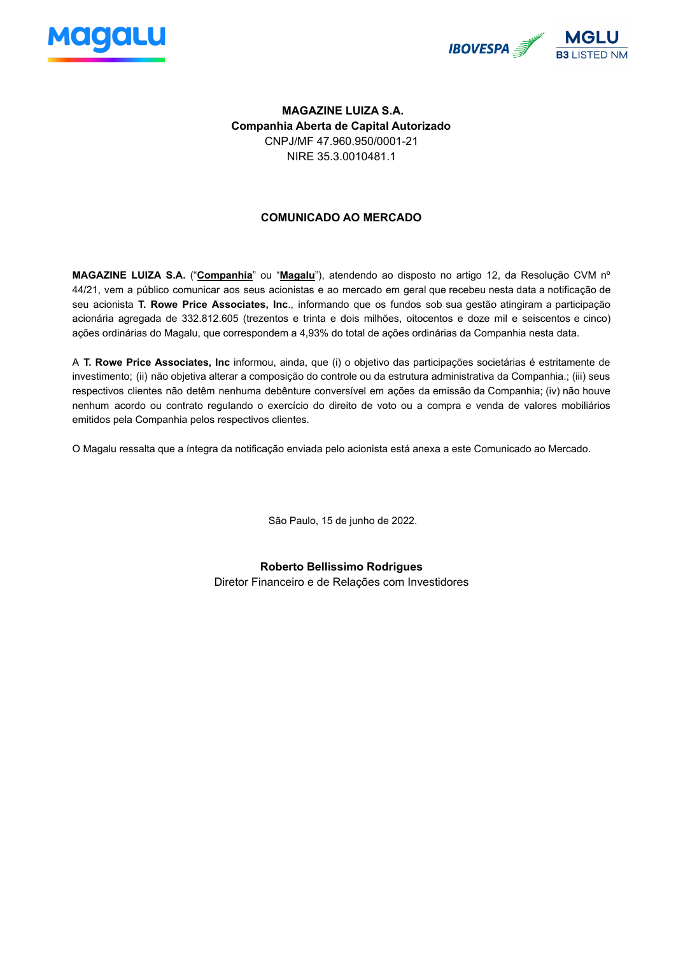



## **MAGAZINE LUIZA S.A. Companhia Aberta de Capital Autorizado** CNPJ/MF 47.960.950/0001-21 NIRE 35.3.0010481.1

## **COMUNICADO AO MERCADO**

**MAGAZINE LUIZA S.A.** ("**Companhia**" ou "**Magalu**"), atendendo ao disposto no artigo 12, da Resolução CVM nº 44/21, vem a público comunicar aos seus acionistas e ao mercado em geral que recebeu nesta data a notificação de seu acionista **T. Rowe Price Associates, Inc**., informando que os fundos sob sua gestão atingiram a participação acionária agregada de 332.812.605 (trezentos e trinta e dois milhões, oitocentos e doze mil e seiscentos e cinco) ações ordinárias do Magalu, que correspondem a 4,93% do total de ações ordinárias da Companhia nesta data.

A **T. Rowe Price Associates, Inc** informou, ainda, que (i) o objetivo das participações societárias é estritamente de investimento; (ii) não objetiva alterar a composição do controle ou da estrutura administrativa da Companhia.; (iii) seus respectivos clientes não detêm nenhuma debênture conversível em ações da emissão da Companhia; (iv) não houve nenhum acordo ou contrato regulando o exercício do direito de voto ou a compra e venda de valores mobiliários emitidos pela Companhia pelos respectivos clientes.

O Magalu ressalta que a íntegra da notificação enviada pelo acionista está anexa a este Comunicado ao Mercado.

São Paulo, 15 de junho de 2022.

**Roberto Bellissimo Rodrigues** Diretor Financeiro e de Relações com Investidores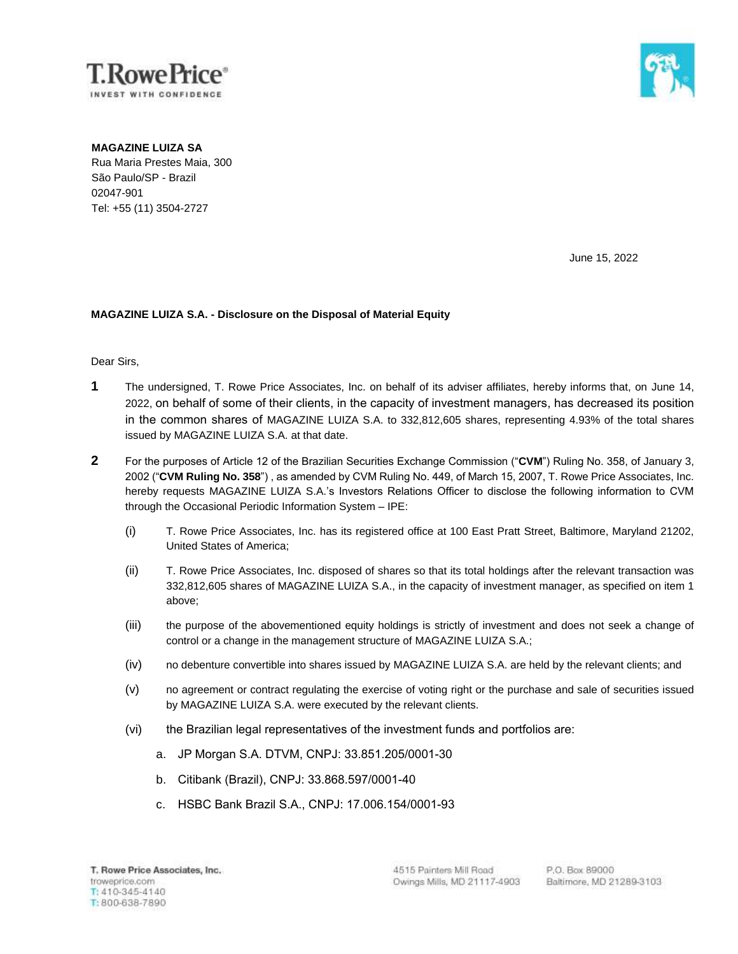



**MAGAZINE LUIZA SA** Rua Maria Prestes Maia, 300 São Paulo/SP - Brazil

02047-901 Tel: +55 (11) 3504-2727

June 15, 2022

## **MAGAZINE LUIZA S.A. - Disclosure on the Disposal of Material Equity**

Dear Sirs,

- **1** The undersigned, T. Rowe Price Associates, Inc. on behalf of its adviser affiliates, hereby informs that, on June 14, 2022, on behalf of some of their clients, in the capacity of investment managers, has decreased its position in the common shares of MAGAZINE LUIZA S.A. to 332,812,605 shares, representing 4.93% of the total shares issued by MAGAZINE LUIZA S.A. at that date.
- **2** For the purposes of Article 12 of the Brazilian Securities Exchange Commission ("**CVM**") Ruling No. 358, of January 3, 2002 ("**CVM Ruling No. 358**") , as amended by CVM Ruling No. 449, of March 15, 2007, T. Rowe Price Associates, Inc. hereby requests MAGAZINE LUIZA S.A.'s Investors Relations Officer to disclose the following information to CVM through the Occasional Periodic Information System – IPE:
	- (i) T. Rowe Price Associates, Inc. has its registered office at 100 East Pratt Street, Baltimore, Maryland 21202, United States of America;
	- (ii) T. Rowe Price Associates, Inc. disposed of shares so that its total holdings after the relevant transaction was 332,812,605 shares of MAGAZINE LUIZA S.A., in the capacity of investment manager, as specified on item 1 above;
	- (iii) the purpose of the abovementioned equity holdings is strictly of investment and does not seek a change of control or a change in the management structure of MAGAZINE LUIZA S.A.;
	- (iv) no debenture convertible into shares issued by MAGAZINE LUIZA S.A. are held by the relevant clients; and
	- (v) no agreement or contract regulating the exercise of voting right or the purchase and sale of securities issued by MAGAZINE LUIZA S.A. were executed by the relevant clients.
	- (vi) the Brazilian legal representatives of the investment funds and portfolios are:
		- a. JP Morgan S.A. DTVM, CNPJ: 33.851.205/0001-30
		- b. Citibank (Brazil), CNPJ: 33.868.597/0001-40
		- c. HSBC Bank Brazil S.A., CNPJ: 17.006.154/0001-93